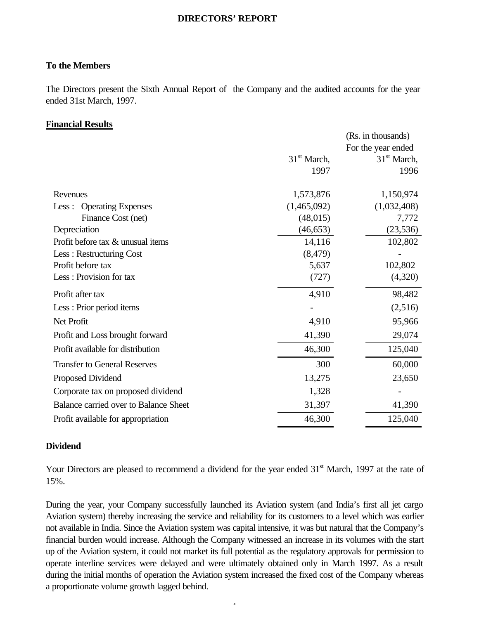#### **DIRECTORS' REPORT**

#### **To the Members**

The Directors present the Sixth Annual Report of the Company and the audited accounts for the year ended 31st March, 1997.

#### **Financial Results**

|                                       |               | (Rs. in thousands) |
|---------------------------------------|---------------|--------------------|
|                                       |               | For the year ended |
|                                       | $31st$ March, | $31st$ March,      |
|                                       | 1997          | 1996               |
| Revenues                              | 1,573,876     | 1,150,974          |
| <b>Operating Expenses</b><br>Less:    | (1,465,092)   | (1,032,408)        |
| Finance Cost (net)                    | (48, 015)     | 7,772              |
| Depreciation                          | (46, 653)     | (23, 536)          |
| Profit before tax & unusual items     | 14,116        | 102,802            |
| Less: Restructuring Cost              | (8, 479)      |                    |
| Profit before tax                     | 5,637         | 102,802            |
| Less: Provision for tax               | (727)         | (4,320)            |
| Profit after tax                      | 4,910         | 98,482             |
| Less : Prior period items             |               | (2,516)            |
| Net Profit                            | 4,910         | 95,966             |
| Profit and Loss brought forward       | 41,390        | 29,074             |
| Profit available for distribution     | 46,300        | 125,040            |
| <b>Transfer to General Reserves</b>   | 300           | 60,000             |
| Proposed Dividend                     | 13,275        | 23,650             |
| Corporate tax on proposed dividend    | 1,328         |                    |
| Balance carried over to Balance Sheet | 31,397        | 41,390             |
| Profit available for appropriation    | 46,300        | 125,040            |

#### **Dividend**

Your Directors are pleased to recommend a dividend for the year ended 31<sup>st</sup> March, 1997 at the rate of 15%.

During the year, your Company successfully launched its Aviation system (and India's first all jet cargo Aviation system) thereby increasing the service and reliability for its customers to a level which was earlier not available in India. Since the Aviation system was capital intensive, it was but natural that the Company's financial burden would increase. Although the Company witnessed an increase in its volumes with the start up of the Aviation system, it could not market its full potential as the regulatory approvals for permission to operate interline services were delayed and were ultimately obtained only in March 1997. As a result during the initial months of operation the Aviation system increased the fixed cost of the Company whereas a proportionate volume growth lagged behind.

- 1-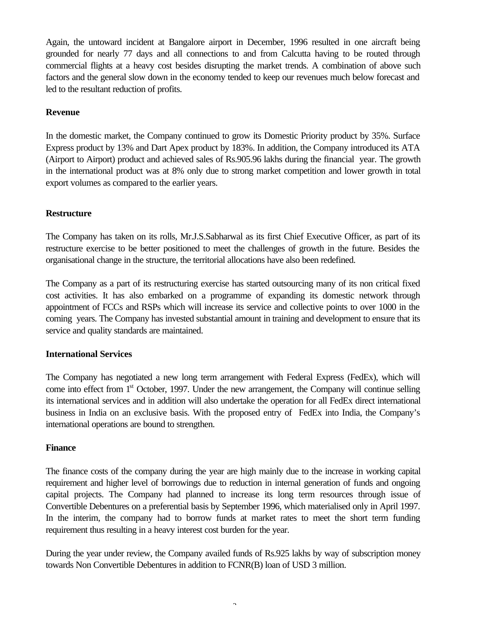Again, the untoward incident at Bangalore airport in December, 1996 resulted in one aircraft being grounded for nearly 77 days and all connections to and from Calcutta having to be routed through commercial flights at a heavy cost besides disrupting the market trends. A combination of above such factors and the general slow down in the economy tended to keep our revenues much below forecast and led to the resultant reduction of profits.

### **Revenue**

In the domestic market, the Company continued to grow its Domestic Priority product by 35%. Surface Express product by 13% and Dart Apex product by 183%. In addition, the Company introduced its ATA (Airport to Airport) product and achieved sales of Rs.905.96 lakhs during the financial year. The growth in the international product was at 8% only due to strong market competition and lower growth in total export volumes as compared to the earlier years.

### **Restructure**

The Company has taken on its rolls, Mr.J.S.Sabharwal as its first Chief Executive Officer, as part of its restructure exercise to be better positioned to meet the challenges of growth in the future. Besides the organisational change in the structure, the territorial allocations have also been redefined.

The Company as a part of its restructuring exercise has started outsourcing many of its non critical fixed cost activities. It has also embarked on a programme of expanding its domestic network through appointment of FCCs and RSPs which will increase its service and collective points to over 1000 in the coming years. The Company has invested substantial amount in training and development to ensure that its service and quality standards are maintained.

### **International Services**

The Company has negotiated a new long term arrangement with Federal Express (FedEx), which will come into effect from 1<sup>st</sup> October, 1997. Under the new arrangement, the Company will continue selling its international services and in addition will also undertake the operation for all FedEx direct international business in India on an exclusive basis. With the proposed entry of FedEx into India, the Company's international operations are bound to strengthen.

### **Finance**

The finance costs of the company during the year are high mainly due to the increase in working capital requirement and higher level of borrowings due to reduction in internal generation of funds and ongoing capital projects. The Company had planned to increase its long term resources through issue of Convertible Debentures on a preferential basis by September 1996, which materialised only in April 1997. In the interim, the company had to borrow funds at market rates to meet the short term funding requirement thus resulting in a heavy interest cost burden for the year.

During the year under review, the Company availed funds of Rs.925 lakhs by way of subscription money towards Non Convertible Debentures in addition to FCNR(B) loan of USD 3 million.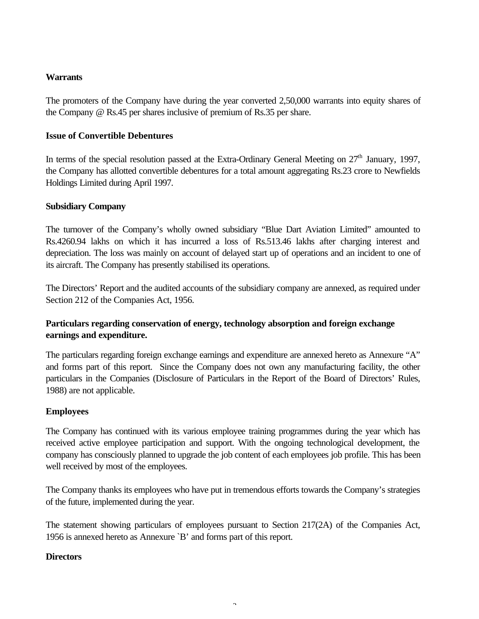### **Warrants**

The promoters of the Company have during the year converted 2,50,000 warrants into equity shares of the Company @ Rs.45 per shares inclusive of premium of Rs.35 per share.

### **Issue of Convertible Debentures**

In terms of the special resolution passed at the Extra-Ordinary General Meeting on  $27<sup>th</sup>$  January, 1997, the Company has allotted convertible debentures for a total amount aggregating Rs.23 crore to Newfields Holdings Limited during April 1997.

### **Subsidiary Company**

The turnover of the Company's wholly owned subsidiary "Blue Dart Aviation Limited" amounted to Rs.4260.94 lakhs on which it has incurred a loss of Rs.513.46 lakhs after charging interest and depreciation. The loss was mainly on account of delayed start up of operations and an incident to one of its aircraft. The Company has presently stabilised its operations.

The Directors' Report and the audited accounts of the subsidiary company are annexed, as required under Section 212 of the Companies Act, 1956.

### **Particulars regarding conservation of energy, technology absorption and foreign exchange earnings and expenditure.**

The particulars regarding foreign exchange earnings and expenditure are annexed hereto as Annexure "A" and forms part of this report. Since the Company does not own any manufacturing facility, the other particulars in the Companies (Disclosure of Particulars in the Report of the Board of Directors' Rules, 1988) are not applicable.

### **Employees**

The Company has continued with its various employee training programmes during the year which has received active employee participation and support. With the ongoing technological development, the company has consciously planned to upgrade the job content of each employees job profile. This has been well received by most of the employees.

The Company thanks its employees who have put in tremendous efforts towards the Company's strategies of the future, implemented during the year.

The statement showing particulars of employees pursuant to Section 217(2A) of the Companies Act, 1956 is annexed hereto as Annexure `B' and forms part of this report.

### **Directors**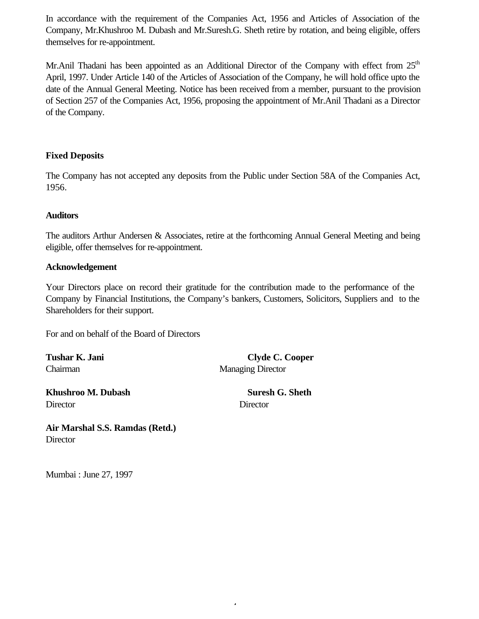In accordance with the requirement of the Companies Act, 1956 and Articles of Association of the Company, Mr.Khushroo M. Dubash and Mr.Suresh.G. Sheth retire by rotation, and being eligible, offers themselves for re-appointment.

Mr.Anil Thadani has been appointed as an Additional Director of the Company with effect from  $25<sup>th</sup>$ April, 1997. Under Article 140 of the Articles of Association of the Company, he will hold office upto the date of the Annual General Meeting. Notice has been received from a member, pursuant to the provision of Section 257 of the Companies Act, 1956, proposing the appointment of Mr.Anil Thadani as a Director of the Company.

### **Fixed Deposits**

The Company has not accepted any deposits from the Public under Section 58A of the Companies Act, 1956.

### **Auditors**

The auditors Arthur Andersen & Associates, retire at the forthcoming Annual General Meeting and being eligible, offer themselves for re-appointment.

### **Acknowledgement**

Your Directors place on record their gratitude for the contribution made to the performance of the Company by Financial Institutions, the Company's bankers, Customers, Solicitors, Suppliers and to the Shareholders for their support.

- 4-

For and on behalf of the Board of Directors

**Khushroo M. Dubash Suresh G. Sheth** Director Director

Tushar K. Jani Clyde C. Cooper Chairman Managing Director

**Air Marshal S.S. Ramdas (Retd.) Director** 

Mumbai : June 27, 1997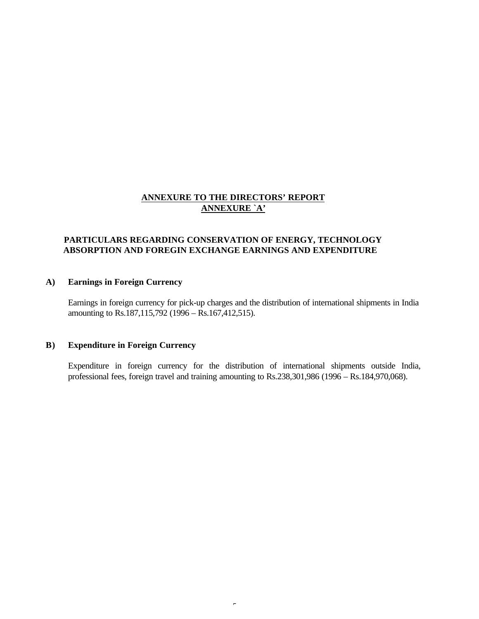### **ANNEXURE TO THE DIRECTORS' REPORT ANNEXURE `A'**

### **PARTICULARS REGARDING CONSERVATION OF ENERGY, TECHNOLOGY ABSORPTION AND FOREGIN EXCHANGE EARNINGS AND EXPENDITURE**

#### **A) Earnings in Foreign Currency**

Earnings in foreign currency for pick-up charges and the distribution of international shipments in India amounting to Rs.187,115,792 (1996 – Rs.167,412,515).

#### **B) Expenditure in Foreign Currency**

Expenditure in foreign currency for the distribution of international shipments outside India, professional fees, foreign travel and training amounting to Rs.238,301,986 (1996 – Rs.184,970,068).

 $\epsilon$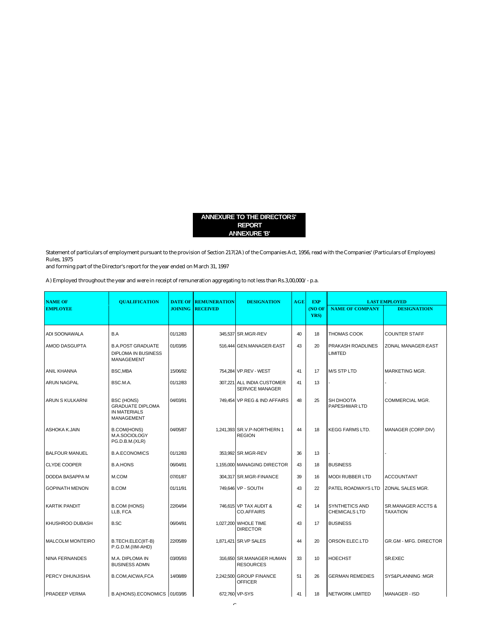#### **ANNEXURE TO THE DIRECTORS' REPORT ANNEXURE 'B'**

Statement of particulars of employment pursuant to the provision of Section 217(2A) of the Companies Act, 1956, read with the Companies' (Particulars of Employees) Rules, 1975

and forming part of the Director's report for the year ended on March 31, 1997

A) Employed throughout the year and were in receipt of remuneration aggregating to not less than Rs.3,00,000/- p.a.

| <b>NAME OF</b>          | <b>OUALIFICATION</b>                                                                     | <b>DATE OF</b> | <b>REMUNERATION</b> | <b>DESIGNATION</b>                            | AGE | <b>EXP</b>     |                                               | <b>LAST EMPLOYED</b>           |
|-------------------------|------------------------------------------------------------------------------------------|----------------|---------------------|-----------------------------------------------|-----|----------------|-----------------------------------------------|--------------------------------|
| <b>EMPLOYEE</b>         |                                                                                          | <b>JOINING</b> | <b>RECEIVED</b>     |                                               |     | (NO OF<br>YRS) | <b>NAME OF COMPANY</b>                        | <b>DESIGNATIOIN</b>            |
| ADI SOONAWALA           | B.A                                                                                      | 01/12/83       |                     | 345,537 SR.MGR-REV                            | 40  | 18             | <b>THOMAS COOK</b>                            | <b>COUNTER STAFF</b>           |
| AMOD DASGUPTA           | <b>B.A.POST GRADUATE</b><br><b>DIPLOMA IN BUSINESS</b><br>MANAGEMENT                     | 01/03/95       |                     | 516,444 GEN.MANAGER-EAST                      | 43  | 20             | PRAKASH ROADLINES<br><b>LIMITED</b>           | ZONAL MANAGER-EAST             |
| <b>ANIL KHANNA</b>      | BSC, MBA                                                                                 | 15/06/92       |                     | 754,284 VP.REV - WEST                         | 41  | 17             | <b>M/S STP LTD</b>                            | MARKETING MGR.                 |
| ARUN NAGPAL             | BSC.M.A.                                                                                 | 01/12/83       |                     | 307,221 ALL INDIA CUSTOMER<br>SERVICE MANAGER | 41  | 13             |                                               |                                |
| <b>ARUN S KULKARNI</b>  | <b>BSC (HONS)</b><br><b>GRADUATE DIPLOMA</b><br><b>IN MATERIALS</b><br><b>MANAGEMENT</b> | 04/03/91       |                     | 749,454 VP REG & IND AFFAIRS                  | 48  | 25             | SH DHOOTA<br>PAPESHWAR LTD                    | COMMERCIAL MGR.                |
| ASHOKA K.JAIN           | <b>B.COM(HONS)</b><br>M.A.SOCIOLOGY<br>PG.D.B.M.(XLR)                                    | 04/05/87       |                     | 1,241,393 SR.V.P-NORTHERN 1<br><b>REGION</b>  | 44  | 18             | <b>KEGG FARMS LTD.</b>                        | MANAGER (CORP.DIV)             |
| <b>BALFOUR MANUEL</b>   | <b>B.A.ECONOMICS</b>                                                                     | 01/12/83       |                     | 353,992 SR.MGR-REV                            | 36  | 13             |                                               |                                |
| <b>CLYDE COOPER</b>     | <b>B.A.HONS</b>                                                                          | 06/04/91       |                     | 1.155,000 MANAGING DIRECTOR                   | 43  | 18             | <b>BUSINESS</b>                               |                                |
| DODDA BASAPPA M         | M.COM                                                                                    | 07/01/87       |                     | 304,317 SR.MGR-FINANCE                        | 39  | 16             | <b>MODI RUBBER LTD</b>                        | <b>ACCOUNTANT</b>              |
| <b>GOPINATH MENON</b>   | <b>B.COM</b>                                                                             | 01/11/91       |                     | 749,646 VP - SOUTH                            | 43  | 22             | PATEL ROADWAYS LTD                            | ZONAL SALES MGR.               |
| <b>KARTIK PANDIT</b>    | <b>B.COM (HONS)</b><br>LLB, FCA                                                          | 22/04/94       |                     | 746,615 VP TAX AUDIT &<br><b>CO.AFFAIRS</b>   | 42  | 14             | <b>SYNTHETICS AND</b><br><b>CHEMICALS LTD</b> | SR.MANAGER ACCTS &<br>TAXATION |
| KHUSHROO DUBASH         | <b>B.SC</b>                                                                              | 06/04/91       |                     | 1,027,200 WHOLE TIME<br><b>DIRECTOR</b>       | 43  | 17             | <b>BUSINESS</b>                               |                                |
| <b>MALCOLM MONTEIRO</b> | B.TECH.ELEC(IIT-B)<br>P.G.D.M.(IIM-AHD)                                                  | 22/05/89       |                     | 1,871,421 SR.VP SALES                         | 44  | 20             | ORSON ELEC.LTD                                | <b>GR.GM - MFG. DIRECTOR</b>   |
| <b>NINA FERNANDES</b>   | M.A. DIPLOMA IN<br><b>BUSINESS ADMN</b>                                                  | 03/05/93       |                     | 316,650 SR.MANAGER HUMAN<br><b>RESOURCES</b>  | 33  | 10             | <b>HOECHST</b>                                | SR.EXEC                        |
| PERCY DHUNJISHA         | <b>B.COM, AICWA, FCA</b>                                                                 | 14/08/89       |                     | 2,242,500 GROUP FINANCE<br><b>OFFICER</b>     | 51  | 26             | <b>GERMAN REMEDIES</b>                        | SYS&PLANNING: MGR              |
| <b>PRADEEP VERMA</b>    | B.A(HONS).ECONOMICS 01/03/95                                                             |                |                     | 672,760 VP-SYS                                | 41  | 18             | NETWORK LIMITED                               | <b>MANAGER - ISD</b>           |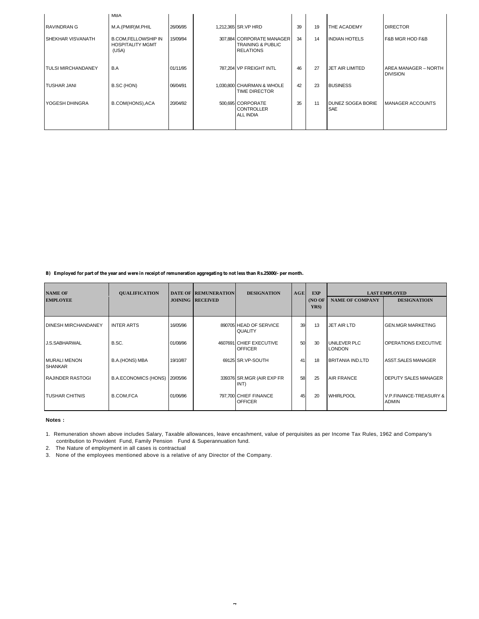|                           | <b>MBA</b>                                                     |          |                                                                               |    |    |                                        |                                         |
|---------------------------|----------------------------------------------------------------|----------|-------------------------------------------------------------------------------|----|----|----------------------------------------|-----------------------------------------|
| <b>RAVINDRAN G</b>        | M.A.(PMIR)M.PHIL                                               | 26/06/95 | 1,212,365 SR.VP HRD                                                           | 39 | 19 | <b>THE ACADEMY</b>                     | <b>DIRECTOR</b>                         |
| I SHEKHAR VISVANATH       | <b>B.COM,FELLOWSHIP IN</b><br><b>HOSPITALITY MGMT</b><br>(USA) | 15/09/94 | 307,884 CORPORATE MANAGER<br><b>TRAINING &amp; PUBLIC</b><br><b>RELATIONS</b> | 34 | 14 | <b>INDIAN HOTELS</b>                   | <b>F&amp;B MGR HOD F&amp;B</b>          |
| <b>TULSI MIRCHANDANEY</b> | B.A                                                            | 01/11/95 | 787.204 VP FREIGHT INTL                                                       | 46 | 27 | <b>JET AIR LIMITED</b>                 | AREA MANAGER - NORTH<br><b>DIVISION</b> |
| <b>TUSHAR JANI</b>        | B.SC (HON)                                                     | 06/04/91 | 1,030,800 CHAIRMAN & WHOLE<br><b>TIME DIRECTOR</b>                            | 42 | 23 | <b>BUSINESS</b>                        |                                         |
| YOGESH DHINGRA            | B.COM(HONS), ACA                                               | 20/04/92 | 500,695 CORPORATE<br><b>CONTROLLER</b><br><b>ALL INDIA</b>                    | 35 | 11 | <b>DUNEZ SOGEA BORIE</b><br><b>SAE</b> | <b>MANAGER ACCOUNTS</b>                 |
|                           |                                                                |          |                                                                               |    |    |                                        |                                         |

#### **B) Employed for part of the year and were in receipt of remuneration aggregating to not less than Rs.25000/- per month.**

| <b>NAME OF</b>                        | <b>QUALIFICATION</b>        |          | <b>DATE OF REMUNERATION</b> | <b>DESIGNATION</b>                        | AGE | <b>EXP</b>    |                                      | <b>LAST EMPLOYED</b>                   |
|---------------------------------------|-----------------------------|----------|-----------------------------|-------------------------------------------|-----|---------------|--------------------------------------|----------------------------------------|
| <b>EMPLOYEE</b>                       |                             |          | <b>JOINING RECEIVED</b>     |                                           |     | (NOOF<br>YRS) | <b>NAME OF COMPANY</b>               | <b>DESIGNATIOIN</b>                    |
| <b>DINESH MIRCHANDANEY</b>            | <b>INTER ARTS</b>           | 16/05/96 |                             | 890705 HEAD OF SERVICE<br>QUALITY         | 39  | 13            | <b>JET AIR LTD</b>                   | <b>GEN.MGR MARKETING</b>               |
| J.S.SABHARWAL                         | B.SC.                       | 01/08/96 |                             | 4607691 CHIEF EXECUTIVE<br><b>OFFICER</b> | 50  | 30            | <b>UNILEVER PLC</b><br><b>LONDON</b> | <b>OPERATIONS EXECUTIVE</b>            |
| <b>MURALI MENON</b><br><b>SHANKAR</b> | B.A.(HONS) MBA              | 19/10/87 |                             | 69125 SR.VP-SOUTH                         | 41  | 18            | <b>BRITANIA IND.LTD</b>              | <b>ASST.SALES MANAGER</b>              |
| <b>RAJINDER RASTOGI</b>               | <b>B.A.ECONOMICS (HONS)</b> | 20/05/96 |                             | 339376 SR.MGR (AIR EXP FR<br>INT)         | 58  | 25            | <b>AIR FRANCE</b>                    | <b>DEPUTY SALES MANAGER</b>            |
| <b>TUSHAR CHITNIS</b>                 | <b>B.COM,FCA</b>            | 01/06/96 |                             | 797.700 CHIEF FINANCE<br><b>OFFICER</b>   | 45  | 20            | <b>WHIRLPOOL</b>                     | V.P.FINANCE-TREASURY &<br><b>ADMIN</b> |

#### **Notes :**

2. The Nature of employment in all cases is contractual

3. None of the employees mentioned above is a relative of any Director of the Company.

<sup>1.</sup> Remuneration shown above includes Salary, Taxable allowances, leave encashment, value of perquisites as per Income Tax Rules, 1962 and Company's contribution to Provident Fund, Family Pension Fund & Superannuation fund.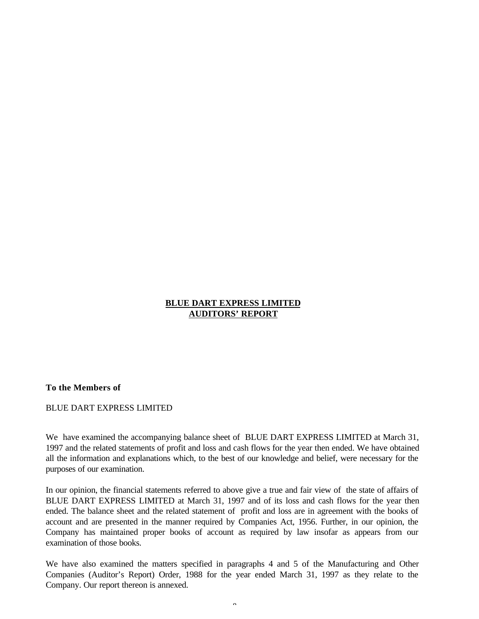### **BLUE DART EXPRESS LIMITED AUDITORS' REPORT**

#### **To the Members of**

#### BLUE DART EXPRESS LIMITED

We have examined the accompanying balance sheet of BLUE DART EXPRESS LIMITED at March 31, 1997 and the related statements of profit and loss and cash flows for the year then ended. We have obtained all the information and explanations which, to the best of our knowledge and belief, were necessary for the purposes of our examination.

In our opinion, the financial statements referred to above give a true and fair view of the state of affairs of BLUE DART EXPRESS LIMITED at March 31, 1997 and of its loss and cash flows for the year then ended. The balance sheet and the related statement of profit and loss are in agreement with the books of account and are presented in the manner required by Companies Act, 1956. Further, in our opinion, the Company has maintained proper books of account as required by law insofar as appears from our examination of those books.

We have also examined the matters specified in paragraphs 4 and 5 of the Manufacturing and Other Companies (Auditor's Report) Order, 1988 for the year ended March 31, 1997 as they relate to the Company. Our report thereon is annexed.

 $\alpha$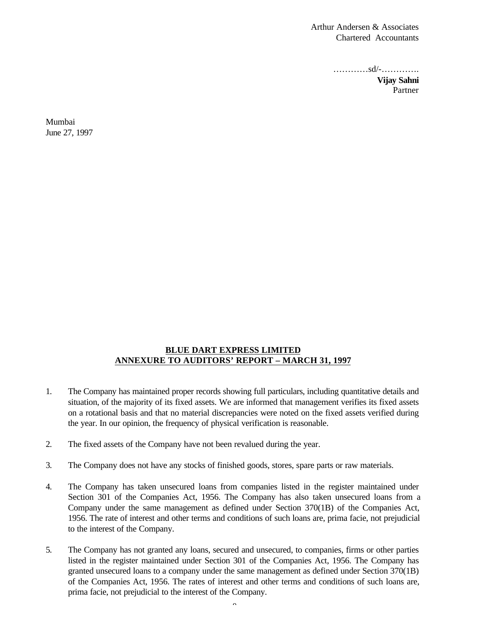Arthur Andersen & Associates Chartered Accountants

…………sd/-………….

**Vijay Sahni** Partner

Mumbai June 27, 1997

#### **BLUE DART EXPRESS LIMITED ANNEXURE TO AUDITORS' REPORT – MARCH 31, 1997**

- 1. The Company has maintained proper records showing full particulars, including quantitative details and situation, of the majority of its fixed assets. We are informed that management verifies its fixed assets on a rotational basis and that no material discrepancies were noted on the fixed assets verified during the year. In our opinion, the frequency of physical verification is reasonable.
- 2. The fixed assets of the Company have not been revalued during the year.
- 3. The Company does not have any stocks of finished goods, stores, spare parts or raw materials.
- 4. The Company has taken unsecured loans from companies listed in the register maintained under Section 301 of the Companies Act, 1956. The Company has also taken unsecured loans from a Company under the same management as defined under Section 370(1B) of the Companies Act, 1956. The rate of interest and other terms and conditions of such loans are, prima facie, not prejudicial to the interest of the Company.
- 5. The Company has not granted any loans, secured and unsecured, to companies, firms or other parties listed in the register maintained under Section 301 of the Companies Act, 1956. The Company has granted unsecured loans to a company under the same management as defined under Section 370(1B) of the Companies Act, 1956. The rates of interest and other terms and conditions of such loans are, prima facie, not prejudicial to the interest of the Company.

 $\sim$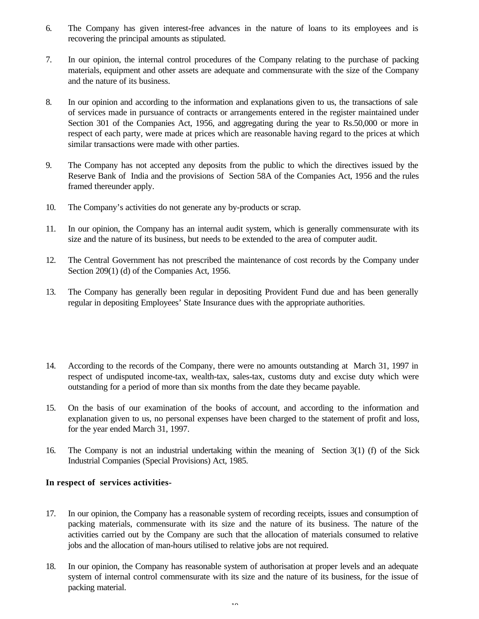- 6. The Company has given interest-free advances in the nature of loans to its employees and is recovering the principal amounts as stipulated.
- 7. In our opinion, the internal control procedures of the Company relating to the purchase of packing materials, equipment and other assets are adequate and commensurate with the size of the Company and the nature of its business.
- 8. In our opinion and according to the information and explanations given to us, the transactions of sale of services made in pursuance of contracts or arrangements entered in the register maintained under Section 301 of the Companies Act, 1956, and aggregating during the year to Rs.50,000 or more in respect of each party, were made at prices which are reasonable having regard to the prices at which similar transactions were made with other parties.
- 9. The Company has not accepted any deposits from the public to which the directives issued by the Reserve Bank of India and the provisions of Section 58A of the Companies Act, 1956 and the rules framed thereunder apply.
- 10. The Company's activities do not generate any by-products or scrap.
- 11. In our opinion, the Company has an internal audit system, which is generally commensurate with its size and the nature of its business, but needs to be extended to the area of computer audit.
- 12. The Central Government has not prescribed the maintenance of cost records by the Company under Section 209(1) (d) of the Companies Act, 1956.
- 13. The Company has generally been regular in depositing Provident Fund due and has been generally regular in depositing Employees' State Insurance dues with the appropriate authorities.
- 14. According to the records of the Company, there were no amounts outstanding at March 31, 1997 in respect of undisputed income-tax, wealth-tax, sales-tax, customs duty and excise duty which were outstanding for a period of more than six months from the date they became payable.
- 15. On the basis of our examination of the books of account, and according to the information and explanation given to us, no personal expenses have been charged to the statement of profit and loss, for the year ended March 31, 1997.
- 16. The Company is not an industrial undertaking within the meaning of Section 3(1) (f) of the Sick Industrial Companies (Special Provisions) Act, 1985.

#### **In respect of services activities-**

- 17. In our opinion, the Company has a reasonable system of recording receipts, issues and consumption of packing materials, commensurate with its size and the nature of its business. The nature of the activities carried out by the Company are such that the allocation of materials consumed to relative jobs and the allocation of man-hours utilised to relative jobs are not required.
- 18. In our opinion, the Company has reasonable system of authorisation at proper levels and an adequate system of internal control commensurate with its size and the nature of its business, for the issue of packing material.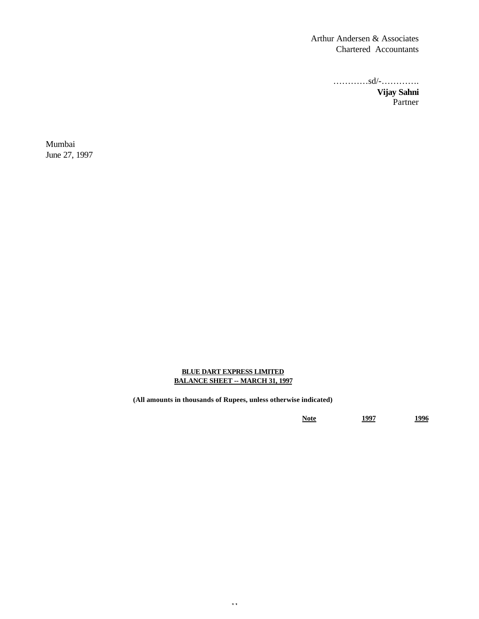Arthur Andersen & Associates Chartered Accountants

…………sd/-………….

**Vijay Sahni** Partner

Mumbai June 27, 1997

#### **BLUE DART EXPRESS LIMITED BALANCE SHEET -- MARCH 31, 1997**

**(All amounts in thousands of Rupees, unless otherwise indicated)**

**Note 1997 1996**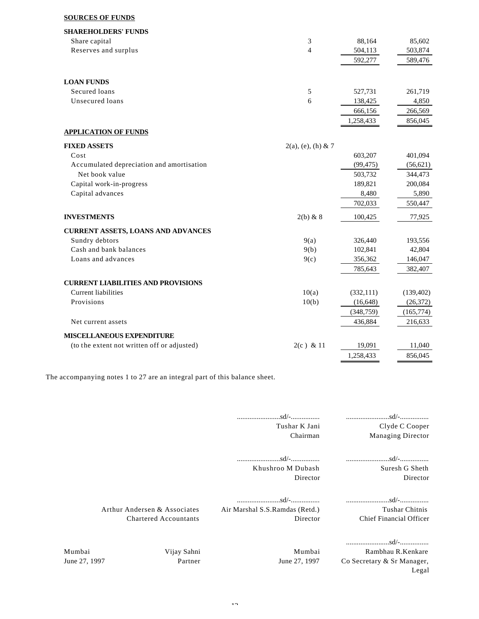#### **SOURCES OF FUNDS**

| <b>SHAREHOLDERS' FUNDS</b>                  |                       |            |            |
|---------------------------------------------|-----------------------|------------|------------|
| Share capital                               | 3                     | 88,164     | 85,602     |
| Reserves and surplus                        | $\overline{4}$        | 504,113    | 503,874    |
|                                             |                       | 592,277    | 589,476    |
| <b>LOAN FUNDS</b>                           |                       |            |            |
| Secured loans                               | 5                     | 527,731    | 261,719    |
| Unsecured loans                             | 6                     | 138,425    | 4,850      |
|                                             |                       | 666,156    | 266,569    |
|                                             |                       | 1,258,433  | 856,045    |
| <b>APPLICATION OF FUNDS</b>                 |                       |            |            |
| <b>FIXED ASSETS</b>                         | $2(a)$ , (e), (h) & 7 |            |            |
| Cost                                        |                       | 603,207    | 401,094    |
| Accumulated depreciation and amortisation   |                       | (99, 475)  | (56, 621)  |
| Net book value                              |                       | 503,732    | 344,473    |
| Capital work-in-progress                    |                       | 189,821    | 200,084    |
| Capital advances                            |                       | 8,480      | 5,890      |
|                                             |                       | 702,033    | 550,447    |
| <b>INVESTMENTS</b>                          | $2(b)$ & 8            | 100,425    | 77,925     |
| <b>CURRENT ASSETS, LOANS AND ADVANCES</b>   |                       |            |            |
| Sundry debtors                              | 9(a)                  | 326,440    | 193,556    |
| Cash and bank balances                      | 9(b)                  | 102,841    | 42,804     |
| Loans and advances                          | 9(c)                  | 356,362    | 146,047    |
|                                             |                       | 785,643    | 382,407    |
| <b>CURRENT LIABILITIES AND PROVISIONS</b>   |                       |            |            |
| <b>Current liabilities</b>                  | 10(a)                 | (332, 111) | (139, 402) |
| Provisions                                  | 10(b)                 | (16, 648)  | (26, 372)  |
|                                             |                       | (348, 759) | (165, 774) |
| Net current assets                          |                       | 436,884    | 216,633    |
| MISCELLANEOUS EXPENDITURE                   |                       |            |            |
| (to the extent not written off or adjusted) | $2(c)$ & 11           | 19,091     | 11,040     |
|                                             |                       | 1,258,433  | 856,045    |

The accompanying notes 1 to 27 are an integral part of this balance sheet.

........................sd/-................ ........................sd/-................ Clyde C Cooper Managing Director

........................sd/-................ ........................sd/-................ Khushroo M Dubash Director

Tushar K Jani Chairman

> Suresh G Sheth Director

........................sd/-................ ........................sd/-................

Tushar Chitnis Chief Financial Officer

Arthur Andersen & Associates Chartered Accountants Air Marshal S.S.Ramdas (Retd.) Director

........................sd/-................

Mumbai June 27, 1997 Vijay Sahni Partner

Mumbai June 27, 1997

Rambhau R.Kenkare Co Secretary & Sr Manager, Legal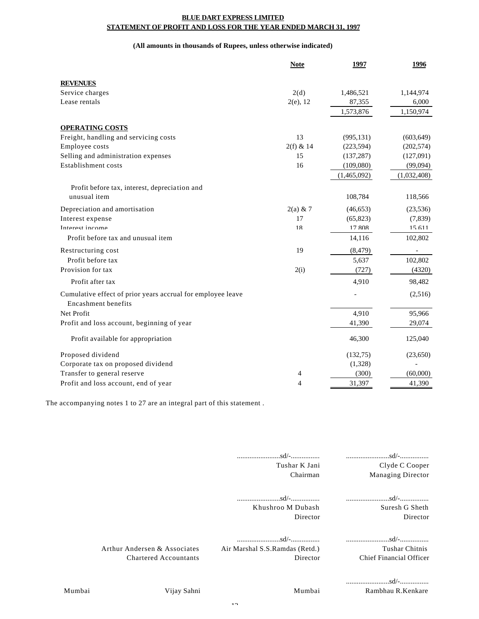#### **BLUE DART EXPRESS LIMITED STATEMENT OF PROFIT AND LOSS FOR THE YEAR ENDED MARCH 31, 1997**

#### **(All amounts in thousands of Rupees, unless otherwise indicated)**

|                                                                                           | <b>Note</b> | 1997                     | 1996                  |
|-------------------------------------------------------------------------------------------|-------------|--------------------------|-----------------------|
| <b>REVENUES</b>                                                                           |             |                          |                       |
| Service charges                                                                           | 2(d)        | 1,486,521                | 1,144,974             |
| Lease rentals                                                                             | 2(e), 12    | 87,355                   | 6,000                 |
|                                                                                           |             | 1,573,876                | 1,150,974             |
|                                                                                           |             |                          |                       |
| <b>OPERATING COSTS</b><br>Freight, handling and servicing costs                           | 13          | (995, 131)               | (603, 649)            |
|                                                                                           | $2(f)$ & 14 |                          |                       |
| Employee costs<br>Selling and administration expenses                                     | 15          | (223, 594)<br>(137, 287) | (202, 574)            |
| Establishment costs                                                                       | 16          | (109,080)                | (127,091)<br>(99,094) |
|                                                                                           |             |                          |                       |
|                                                                                           |             | (1,465,092)              | (1,032,408)           |
| Profit before tax, interest, depreciation and                                             |             |                          |                       |
| unusual item                                                                              |             | 108,784                  | 118,566               |
| Depreciation and amortisation                                                             | $2(a)$ & 7  | (46, 653)                | (23, 536)             |
| Interest expense                                                                          | 17          | (65, 823)                | (7,839)               |
| Interest income                                                                           | 18          | 17 808                   | 15 611                |
| Profit before tax and unusual item                                                        |             | 14,116                   | 102,802               |
| Restructuring cost                                                                        | 19          | (8, 479)                 |                       |
| Profit before tax                                                                         |             | 5,637                    | 102,802               |
| Provision for tax                                                                         | 2(i)        | (727)                    | (4320)                |
| Profit after tax                                                                          |             | 4,910                    | 98,482                |
| Cumulative effect of prior years accrual for employee leave<br><b>Encashment benefits</b> |             |                          | (2,516)               |
| Net Profit                                                                                |             | 4,910                    | 95,966                |
| Profit and loss account, beginning of year                                                |             | 41,390                   | 29,074                |
| Profit available for appropriation                                                        |             | 46,300                   | 125,040               |
| Proposed dividend                                                                         |             | (132,75)                 | (23,650)              |
| Corporate tax on proposed dividend                                                        |             | (1,328)                  |                       |
| Transfer to general reserve                                                               | 4           | (300)                    | (60,000)              |
| Profit and loss account, end of year                                                      | 4           | 31,397                   | 41,390                |

The accompanying notes 1 to 27 are an integral part of this statement .

|        |                                                              | Tushar K Jani<br>Chairman                  | Clyde C Cooper<br><b>Managing Director</b>                             |
|--------|--------------------------------------------------------------|--------------------------------------------|------------------------------------------------------------------------|
|        |                                                              | Khushroo M Dubash<br>Director              | Suresh G Sheth<br>Director                                             |
|        | Arthur Andersen & Associates<br><b>Chartered Accountants</b> | Air Marshal S.S.Ramdas (Retd.)<br>Director | Tushar Chitnis<br>Chief Financial Officer                              |
| Mumbai | Vijay Sahni                                                  | Mumbai                                     | $\dots \dots \dots \dots \dots \dots \dots \dots$<br>Rambhau R.Kenkare |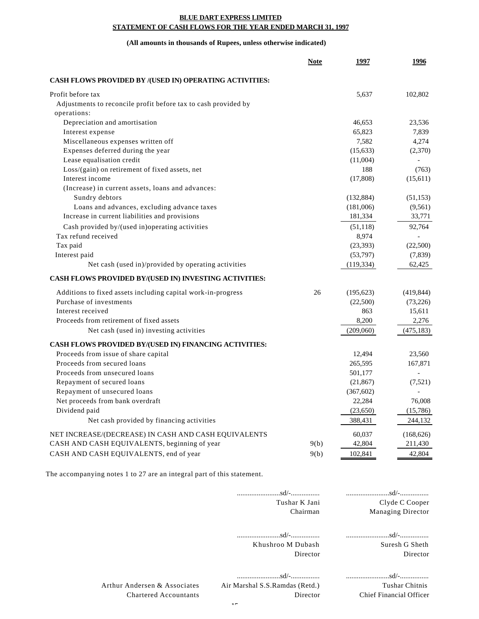#### **BLUE DART EXPRESS LIMITED STATEMENT OF CASH FLOWS FOR THE YEAR ENDED MARCH 31, 1997**

#### **(All amounts in thousands of Rupees, unless otherwise indicated)**

|                                                                | <b>Note</b> | 1997       | 1996       |
|----------------------------------------------------------------|-------------|------------|------------|
| CASH FLOWS PROVIDED BY /(USED IN) OPERATING ACTIVITIES:        |             |            |            |
| Profit before tax                                              |             | 5,637      | 102,802    |
| Adjustments to reconcile profit before tax to cash provided by |             |            |            |
| operations:                                                    |             |            |            |
| Depreciation and amortisation                                  |             | 46,653     | 23,536     |
| Interest expense                                               |             | 65,823     | 7,839      |
| Miscellaneous expenses written off                             |             | 7,582      | 4,274      |
| Expenses deferred during the year                              |             | (15, 633)  | (2,370)    |
| Lease equalisation credit                                      |             | (11,004)   |            |
| Loss/(gain) on retirement of fixed assets, net                 |             | 188        | (763)      |
| Interest income                                                |             | (17,808)   | (15,611)   |
| (Increase) in current assets, loans and advances:              |             |            |            |
| Sundry debtors                                                 |             | (132, 884) | (51, 153)  |
| Loans and advances, excluding advance taxes                    |             | (181,006)  | (9,561)    |
| Increase in current liabilities and provisions                 |             | 181,334    | 33,771     |
| Cash provided by/(used in)operating activities                 |             | (51, 118)  | 92,764     |
| Tax refund received                                            |             | 8,974      |            |
| Tax paid                                                       |             | (23, 393)  | (22,500)   |
| Interest paid                                                  |             | (53,797)   | (7,839)    |
| Net cash (used in)/provided by operating activities            |             | (119, 334) | 62,425     |
| CASH FLOWS PROVIDED BY/(USED IN) INVESTING ACTIVITIES:         |             |            |            |
| Additions to fixed assets including capital work-in-progress   | 26          | (195, 623) | (419, 844) |
| Purchase of investments                                        |             | (22,500)   | (73,226)   |
| Interest received                                              |             | 863        | 15,611     |
| Proceeds from retirement of fixed assets                       |             | 8,200      | 2,276      |
| Net cash (used in) investing activities                        |             | (209,060)  | (475, 183) |
| CASH FLOWS PROVIDED BY/(USED IN) FINANCING ACTIVITIES:         |             |            |            |
| Proceeds from issue of share capital                           |             | 12,494     | 23,560     |
| Proceeds from secured loans                                    |             | 265,595    | 167,871    |
| Proceeds from unsecured loans                                  |             | 501,177    |            |
| Repayment of secured loans                                     |             | (21, 867)  | (7,521)    |
| Repayment of unsecured loans                                   |             | (367, 602) |            |
| Net proceeds from bank overdraft                               |             | 22,284     | 76,008     |
| Dividend paid                                                  |             | (23,650)   | (15,786)   |
| Net cash provided by financing activities                      |             | 388,431    | 244,132    |
| NET INCREASE/(DECREASE) IN CASH AND CASH EQUIVALENTS           |             | 60,037     | (168, 626) |
| CASH AND CASH EQUIVALENTS, beginning of year                   | 9(b)        | 42,804     | 211,430    |
| CASH AND CASH EQUIVALENTS, end of year                         | 9(b)        | 102,841    | 42,804     |

The accompanying notes 1 to 27 are an integral part of this statement.

| Clyde C Cooper<br>Managing Director       | Tushar K Jani<br>Chairman                  |                                                              |
|-------------------------------------------|--------------------------------------------|--------------------------------------------------------------|
| Suresh G Sheth<br>Director                | Khushroo M Dubash<br>Director              |                                                              |
| Tushar Chitnis<br>Chief Financial Officer | Air Marshal S.S.Ramdas (Retd.)<br>Director | Arthur Andersen & Associates<br><b>Chartered Accountants</b> |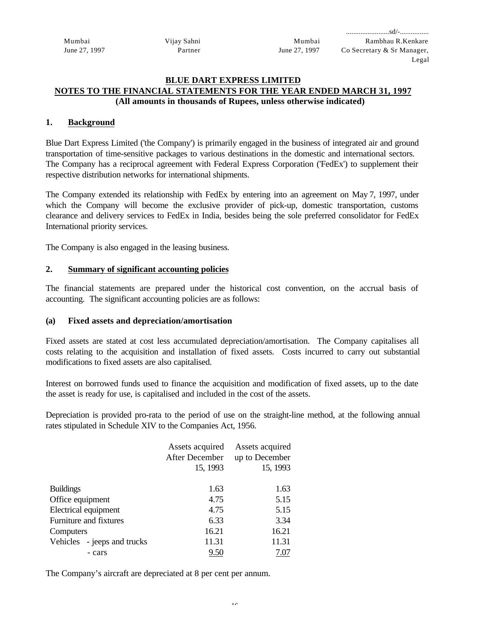Mumbai June 27, 1997 Vijay Sahni Partner

#### **BLUE DART EXPRESS LIMITED NOTES TO THE FINANCIAL STATEMENTS FOR THE YEAR ENDED MARCH 31, 1997 (All amounts in thousands of Rupees, unless otherwise indicated)**

#### **1. Background**

Blue Dart Express Limited ('the Company') is primarily engaged in the business of integrated air and ground transportation of time-sensitive packages to various destinations in the domestic and international sectors. The Company has a reciprocal agreement with Federal Express Corporation ('FedEx') to supplement their respective distribution networks for international shipments.

The Company extended its relationship with FedEx by entering into an agreement on May 7, 1997, under which the Company will become the exclusive provider of pick-up, domestic transportation, customs clearance and delivery services to FedEx in India, besides being the sole preferred consolidator for FedEx International priority services.

The Company is also engaged in the leasing business.

#### **2. Summary of significant accounting policies**

The financial statements are prepared under the historical cost convention, on the accrual basis of accounting. The significant accounting policies are as follows:

#### **(a) Fixed assets and depreciation/amortisation**

Fixed assets are stated at cost less accumulated depreciation/amortisation. The Company capitalises all costs relating to the acquisition and installation of fixed assets. Costs incurred to carry out substantial modifications to fixed assets are also capitalised.

Interest on borrowed funds used to finance the acquisition and modification of fixed assets, up to the date the asset is ready for use, is capitalised and included in the cost of the assets.

Depreciation is provided pro-rata to the period of use on the straight-line method, at the following annual rates stipulated in Schedule XIV to the Companies Act, 1956.

|                             | Assets acquired | Assets acquired |
|-----------------------------|-----------------|-----------------|
|                             | After December  | up to December  |
|                             | 15, 1993        | 15, 1993        |
|                             |                 |                 |
| <b>Buildings</b>            | 1.63            | 1.63            |
| Office equipment            | 4.75            | 5.15            |
| Electrical equipment        | 4.75            | 5.15            |
| Furniture and fixtures      | 6.33            | 3.34            |
| Computers                   | 16.21           | 16.21           |
| Vehicles - jeeps and trucks | 11.31           | 11.31           |
| - cars                      | 9.50            | 7.07            |

The Company's aircraft are depreciated at 8 per cent per annum.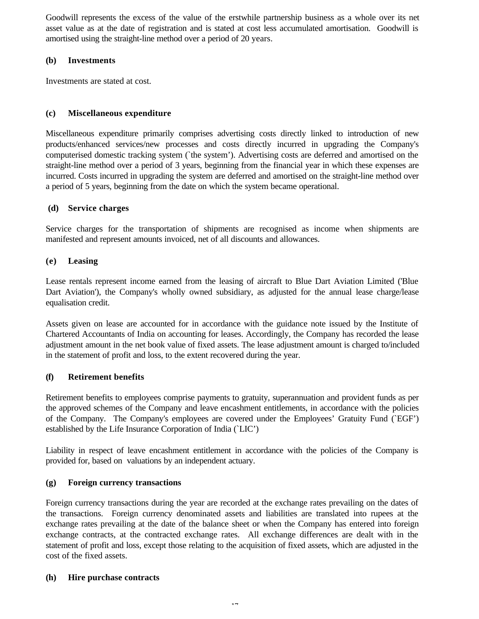Goodwill represents the excess of the value of the erstwhile partnership business as a whole over its net asset value as at the date of registration and is stated at cost less accumulated amortisation. Goodwill is amortised using the straight-line method over a period of 20 years.

#### **(b) Investments**

Investments are stated at cost.

#### **(c) Miscellaneous expenditure**

Miscellaneous expenditure primarily comprises advertising costs directly linked to introduction of new products/enhanced services/new processes and costs directly incurred in upgrading the Company's computerised domestic tracking system (`the system'). Advertising costs are deferred and amortised on the straight-line method over a period of 3 years, beginning from the financial year in which these expenses are incurred. Costs incurred in upgrading the system are deferred and amortised on the straight-line method over a period of 5 years, beginning from the date on which the system became operational.

#### **(d) Service charges**

Service charges for the transportation of shipments are recognised as income when shipments are manifested and represent amounts invoiced, net of all discounts and allowances.

#### **(e) Leasing**

Lease rentals represent income earned from the leasing of aircraft to Blue Dart Aviation Limited ('Blue Dart Aviation'), the Company's wholly owned subsidiary, as adjusted for the annual lease charge/lease equalisation credit.

Assets given on lease are accounted for in accordance with the guidance note issued by the Institute of Chartered Accountants of India on accounting for leases. Accordingly, the Company has recorded the lease adjustment amount in the net book value of fixed assets. The lease adjustment amount is charged to/included in the statement of profit and loss, to the extent recovered during the year.

### **(f) Retirement benefits**

Retirement benefits to employees comprise payments to gratuity, superannuation and provident funds as per the approved schemes of the Company and leave encashment entitlements, in accordance with the policies of the Company. The Company's employees are covered under the Employees' Gratuity Fund (`EGF') established by the Life Insurance Corporation of India (`LIC')

Liability in respect of leave encashment entitlement in accordance with the policies of the Company is provided for, based on valuations by an independent actuary.

#### **(g) Foreign currency transactions**

Foreign currency transactions during the year are recorded at the exchange rates prevailing on the dates of the transactions. Foreign currency denominated assets and liabilities are translated into rupees at the exchange rates prevailing at the date of the balance sheet or when the Company has entered into foreign exchange contracts, at the contracted exchange rates. All exchange differences are dealt with in the statement of profit and loss, except those relating to the acquisition of fixed assets, which are adjusted in the cost of the fixed assets.

#### **(h) Hire purchase contracts**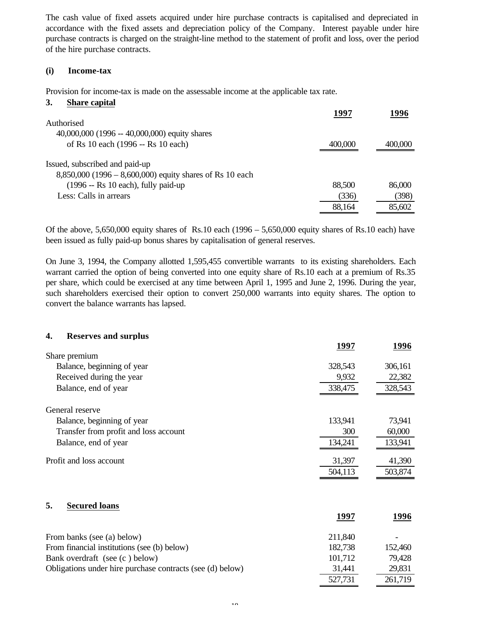The cash value of fixed assets acquired under hire purchase contracts is capitalised and depreciated in accordance with the fixed assets and depreciation policy of the Company. Interest payable under hire purchase contracts is charged on the straight-line method to the statement of profit and loss, over the period of the hire purchase contracts.

#### **(i) Income-tax**

Provision for income-tax is made on the assessable income at the applicable tax rate.

#### **3. Share capital**

|                                                            | 1997    | 1996    |
|------------------------------------------------------------|---------|---------|
| Authorised                                                 |         |         |
| 40,000,000 (1996 -- 40,000,000) equity shares              |         |         |
| of Rs 10 each (1996 -- Rs 10 each)                         | 400,000 | 400,000 |
| Issued, subscribed and paid-up                             |         |         |
| $8,850,000$ (1996 – 8,600,000) equity shares of Rs 10 each |         |         |
| $(1996 - Rs 10 each)$ , fully paid-up                      | 88,500  | 86,000  |
| Less: Calls in arrears                                     | (336)   | (398)   |
|                                                            | 88,164  | 85,602  |

Of the above, 5,650,000 equity shares of Rs.10 each (1996 – 5,650,000 equity shares of Rs.10 each) have been issued as fully paid-up bonus shares by capitalisation of general reserves.

On June 3, 1994, the Company allotted 1,595,455 convertible warrants to its existing shareholders. Each warrant carried the option of being converted into one equity share of Rs.10 each at a premium of Rs.35 per share, which could be exercised at any time between April 1, 1995 and June 2, 1996. During the year, such shareholders exercised their option to convert 250,000 warrants into equity shares. The option to convert the balance warrants has lapsed.

# **4. Reserves and surplus 1997 1996** Share premium Balance, beginning of year 328,543 306,161 Received during the year 9,932 22,382 Balance, end of year 338,475 328,543 General reserve Balance, beginning of year 133,941 73,941 Transfer from profit and loss account 300 60,000 60,000 Balance, end of year 134,241 133,941 Profit and loss account 31,397 41,390 504,113 503,874 **5. Secured loans**

|                                                           | 1997    | 1996    |
|-----------------------------------------------------------|---------|---------|
| From banks (see (a) below)                                | 211,840 |         |
| From financial institutions (see (b) below)               | 182,738 | 152,460 |
| Bank overdraft (see (c) below)                            | 101,712 | 79,428  |
| Obligations under hire purchase contracts (see (d) below) | 31,441  | 29,831  |
|                                                           | 527,731 | 261,719 |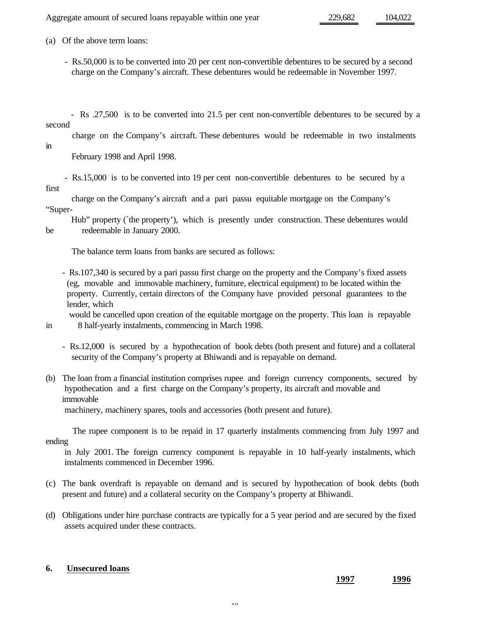Aggregate amount of secured loans repayable within one year 229,682 104,022

(a) Of the above term loans:

- Rs.50,000 is to be converted into 20 per cent non-convertible debentures to be secured by a second charge on the Company's aircraft. These debentures would be redeemable in November 1997.
- Rs .27,500 is to be converted into 21.5 per cent non-convertible debentures to be secured by a second

charge on the Company's aircraft. These debentures would be redeemable in two instalments

in

February 1998 and April 1998.

 - Rs.15,000 is to be converted into 19 per cent non-convertible debentures to be secured by a first

 charge on the Company's aircraft and a pari passu equitable mortgage on the Company's "Super-

 Hub" property (`the property'), which is presently under construction. These debentures would be redeemable in January 2000.

The balance term loans from banks are secured as follows:

- Rs.107,340 is secured by a pari passu first charge on the property and the Company's fixed assets (eg, movable and immovable machinery, furniture, electrical equipment) to be located within the property. Currently, certain directors of the Company have provided personal guarantees to the lender, which

 would be cancelled upon creation of the equitable mortgage on the property. This loan is repayable in 8 half-yearly instalments, commencing in March 1998.

- Rs.12,000 is secured by a hypothecation of book debts (both present and future) and a collateral security of the Company's property at Bhiwandi and is repayable on demand.
- (b) The loan from a financial institution comprises rupee and foreign currency components, secured by hypothecation and a first charge on the Company's property, its aircraft and movable and immovable machinery, machinery spares, tools and accessories (both present and future).

 The rupee component is to be repaid in 17 quarterly instalments commencing from July 1997 and ending

 in July 2001. The foreign currency component is repayable in 10 half-yearly instalments, which instalments commenced in December 1996.

- (c) The bank overdraft is repayable on demand and is secured by hypothecation of book debts (both present and future) and a collateral security on the Company's property at Bhiwandi.
- (d) Obligations under hire purchase contracts are typically for a 5 year period and are secured by the fixed assets acquired under these contracts.

#### **6. Unsecured loans**

**1997 1996**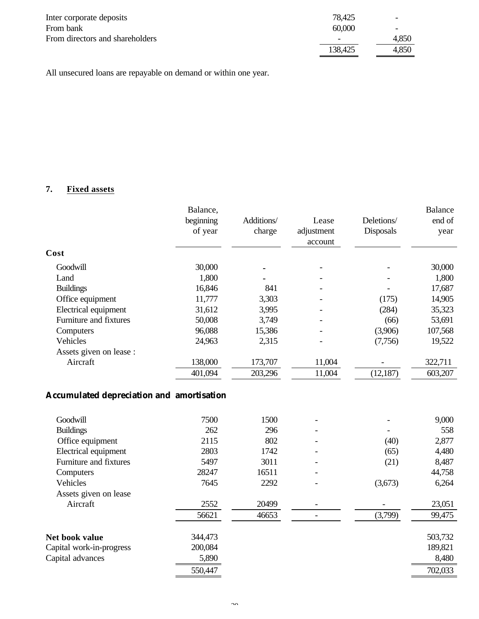| Inter corporate deposits        | 78,425  | $\overline{\phantom{0}}$ |
|---------------------------------|---------|--------------------------|
| From bank                       | 60,000  |                          |
| From directors and shareholders |         | 4,850                    |
|                                 | 138,425 | 4,850                    |

All unsecured loans are repayable on demand or within one year.

## **7. Fixed assets**

|                         | Balance,<br>beginning<br>of year | Additions/<br>charge | Lease<br>adjustment<br>account | Deletions/<br><b>Disposals</b> | <b>Balance</b><br>end of<br>year |
|-------------------------|----------------------------------|----------------------|--------------------------------|--------------------------------|----------------------------------|
| Cost                    |                                  |                      |                                |                                |                                  |
| Goodwill                | 30,000                           |                      |                                |                                | 30,000                           |
| Land                    | 1,800                            |                      |                                |                                | 1,800                            |
| <b>Buildings</b>        | 16,846                           | 841                  |                                |                                | 17,687                           |
| Office equipment        | 11,777                           | 3,303                |                                | (175)                          | 14,905                           |
| Electrical equipment    | 31,612                           | 3,995                |                                | (284)                          | 35,323                           |
| Furniture and fixtures  | 50,008                           | 3,749                |                                | (66)                           | 53,691                           |
| Computers               | 96,088                           | 15,386               |                                | (3,906)                        | 107,568                          |
| Vehicles                | 24,963                           | 2,315                |                                | (7,756)                        | 19,522                           |
| Assets given on lease : |                                  |                      |                                |                                |                                  |
| Aircraft                | 138,000                          | 173,707              | 11,004                         |                                | 322,711                          |
|                         | 401,094                          | 203,296              | 11,004                         | (12, 187)                      | 603,207                          |
|                         |                                  |                      |                                |                                |                                  |

## **Accumulated depreciation and amortisation**

| 7500    | 1500  |         | 9,000   |
|---------|-------|---------|---------|
| 262     | 296   |         | 558     |
| 2115    | 802   | (40)    | 2,877   |
| 2803    | 1742  | (65)    | 4,480   |
| 5497    | 3011  | (21)    | 8,487   |
| 28247   | 16511 |         | 44,758  |
| 7645    | 2292  | (3,673) | 6,264   |
|         |       |         |         |
| 2552    | 20499 |         | 23,051  |
| 56621   | 46653 | (3,799) | 99,475  |
| 344,473 |       |         | 503,732 |
| 200,084 |       |         | 189,821 |
| 5,890   |       |         | 8,480   |
| 550,447 |       |         | 702,033 |
|         |       |         |         |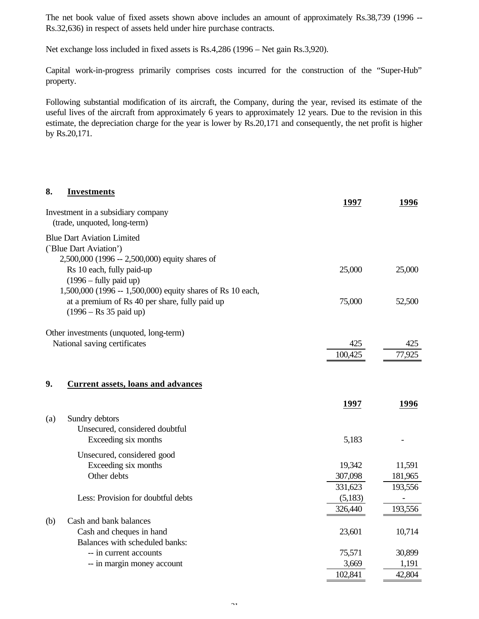The net book value of fixed assets shown above includes an amount of approximately Rs.38,739 (1996 -- Rs.32,636) in respect of assets held under hire purchase contracts.

Net exchange loss included in fixed assets is Rs.4,286 (1996 – Net gain Rs.3,920).

Capital work-in-progress primarily comprises costs incurred for the construction of the "Super-Hub" property.

Following substantial modification of its aircraft, the Company, during the year, revised its estimate of the useful lives of the aircraft from approximately 6 years to approximately 12 years. Due to the revision in this estimate, the depreciation charge for the year is lower by Rs.20,171 and consequently, the net profit is higher by Rs.20,171.

| 8.  | <b>Investments</b>                                                         | 1997    | 1996    |
|-----|----------------------------------------------------------------------------|---------|---------|
|     | Investment in a subsidiary company<br>(trade, unquoted, long-term)         |         |         |
|     | <b>Blue Dart Aviation Limited</b>                                          |         |         |
|     | ('Blue Dart Aviation')                                                     |         |         |
|     | 2,500,000 (1996 -- 2,500,000) equity shares of                             |         |         |
|     | Rs 10 each, fully paid-up                                                  | 25,000  | 25,000  |
|     | $(1996 - fully paid up)$                                                   |         |         |
|     | 1,500,000 (1996 -- 1,500,000) equity shares of Rs 10 each,                 | 75,000  |         |
|     | at a premium of Rs 40 per share, fully paid up<br>$(1996 - Rs 35$ paid up) |         | 52,500  |
|     | Other investments (unquoted, long-term)                                    |         |         |
|     | National saving certificates                                               | 425     | 425     |
|     |                                                                            | 100,425 | 77,925  |
| 9.  | <b>Current assets, loans and advances</b>                                  |         |         |
|     |                                                                            | 1997    | 1996    |
| (a) | Sundry debtors                                                             |         |         |
|     | Unsecured, considered doubtful                                             |         |         |
|     | Exceeding six months                                                       | 5,183   |         |
|     | Unsecured, considered good                                                 |         |         |
|     | Exceeding six months                                                       | 19,342  | 11,591  |
|     | Other debts                                                                | 307,098 | 181,965 |
|     |                                                                            | 331,623 | 193,556 |
|     | Less: Provision for doubtful debts                                         | (5,183) |         |
|     |                                                                            | 326,440 | 193,556 |
| (b) | Cash and bank balances                                                     |         |         |
|     | Cash and cheques in hand                                                   | 23,601  | 10,714  |
|     | Balances with scheduled banks:                                             |         |         |
|     | -- in current accounts                                                     | 75,571  | 30,899  |
|     | -- in margin money account                                                 | 3,669   | 1,191   |
|     |                                                                            | 102,841 | 42,804  |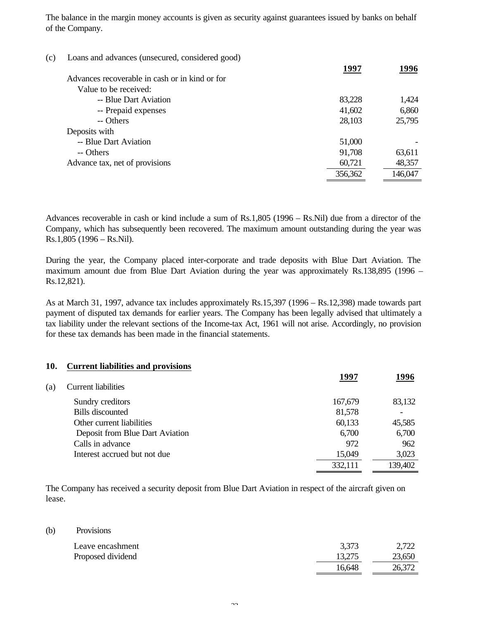The balance in the margin money accounts is given as security against guarantees issued by banks on behalf of the Company.

| (c) | Loans and advances (unsecured, considered good) |         |         |
|-----|-------------------------------------------------|---------|---------|
|     | Advances recoverable in cash or in kind or for  | 1997    | 1996    |
|     | Value to be received:                           |         |         |
|     | -- Blue Dart Aviation                           | 83,228  | 1,424   |
|     | -- Prepaid expenses                             | 41,602  | 6,860   |
|     | -- Others                                       | 28,103  | 25,795  |
|     | Deposits with                                   |         |         |
|     | -- Blue Dart Aviation                           | 51,000  |         |
|     | -- Others                                       | 91,708  | 63,611  |
|     | Advance tax, net of provisions                  | 60,721  | 48,357  |
|     |                                                 | 356,362 | 146,047 |

Advances recoverable in cash or kind include a sum of Rs.1,805 (1996 – Rs.Nil) due from a director of the Company, which has subsequently been recovered. The maximum amount outstanding during the year was Rs.1,805 (1996 – Rs.Nil).

During the year, the Company placed inter-corporate and trade deposits with Blue Dart Aviation. The maximum amount due from Blue Dart Aviation during the year was approximately Rs.138,895 (1996 – Rs.12,821).

As at March 31, 1997, advance tax includes approximately Rs.15,397 (1996 – Rs.12,398) made towards part payment of disputed tax demands for earlier years. The Company has been legally advised that ultimately a tax liability under the relevant sections of the Income-tax Act, 1961 will not arise. Accordingly, no provision for these tax demands has been made in the financial statements.

| 10. | <b>Current liabilities and provisions</b> |         |         |
|-----|-------------------------------------------|---------|---------|
|     |                                           | 1997    | 1996    |
| (a) | <b>Current liabilities</b>                |         |         |
|     | Sundry creditors                          | 167,679 | 83,132  |
|     | <b>Bills</b> discounted                   | 81,578  |         |
|     | Other current liabilities                 | 60,133  | 45,585  |
|     | Deposit from Blue Dart Aviation           | 6,700   | 6,700   |
|     | Calls in advance                          | 972     | 962     |
|     | Interest accrued but not due              | 15,049  | 3,023   |
|     |                                           | 332,111 | 139,402 |

The Company has received a security deposit from Blue Dart Aviation in respect of the aircraft given on lease.

(b) Provisions

| Leave encashment  | 3,373  | 2,722  |
|-------------------|--------|--------|
| Proposed dividend | 13.275 | 23,650 |
|                   | 16,648 | 26,372 |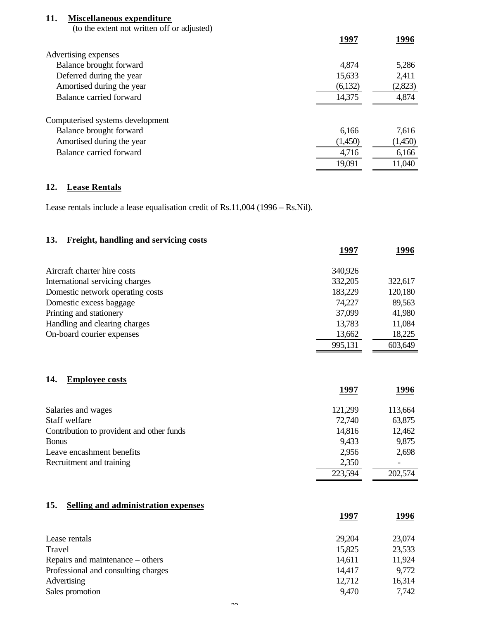### **11. Miscellaneous expenditure**

(to the extent not written off or adjusted)

|                                  | 1997    | 1996    |
|----------------------------------|---------|---------|
| Advertising expenses             |         |         |
| Balance brought forward          | 4,874   | 5,286   |
| Deferred during the year         | 15,633  | 2,411   |
| Amortised during the year        | (6,132) | (2,823) |
| Balance carried forward          | 14,375  | 4,874   |
| Computerised systems development |         |         |
| Balance brought forward          | 6,166   | 7,616   |
| Amortised during the year        | (1,450) | (1,450) |
| Balance carried forward          | 4,716   | 6,166   |
|                                  | 19,091  | 11,040  |
|                                  |         |         |

### **12. Lease Rentals**

Lease rentals include a lease equalisation credit of Rs.11,004 (1996 – Rs.Nil).

| Freight, handling and servicing costs<br>13. |         |         |
|----------------------------------------------|---------|---------|
|                                              | 1997    | 1996    |
| Aircraft charter hire costs                  | 340,926 |         |
| International servicing charges              | 332,205 | 322,617 |
| Domestic network operating costs             | 183,229 | 120,180 |
| Domestic excess baggage                      | 74,227  | 89,563  |
| Printing and stationery                      | 37,099  | 41,980  |
| Handling and clearing charges                | 13,783  | 11,084  |
| On-board courier expenses                    | 13,662  | 18,225  |
|                                              | 995,131 | 603,649 |
| <b>Employee costs</b><br>14.                 | 1997    | 1996    |
| Salaries and wages                           | 121,299 | 113,664 |
| Staff welfare                                | 72,740  | 63,875  |
| Contribution to provident and other funds    | 14,816  | 12,462  |
| <b>Bonus</b>                                 | 9,433   | 9,875   |
| Leave encashment benefits                    | 2,956   | 2,698   |
| Recruitment and training                     | 2,350   |         |
|                                              | 223,594 | 202,574 |
|                                              |         |         |

## **15. Selling and administration expenses**

|                                     | 1997   | 1996   |
|-------------------------------------|--------|--------|
| Lease rentals                       | 29,204 | 23,074 |
| Travel                              | 15,825 | 23,533 |
| Repairs and maintenance – others    | 14,611 | 11,924 |
| Professional and consulting charges | 14,417 | 9,772  |
| Advertising                         | 12,712 | 16,314 |
| Sales promotion                     | 9,470  | 7,742  |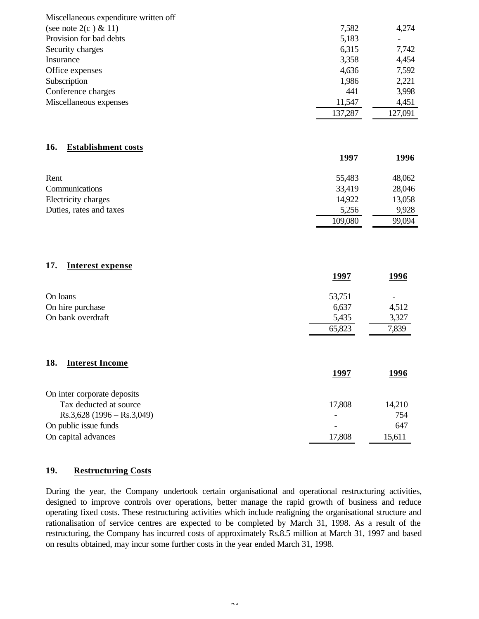| Miscellaneous expenditure written off |             |                  |
|---------------------------------------|-------------|------------------|
| (see note $2(c) \& 11$ )              | 7,582       | 4,274            |
| Provision for bad debts               | 5,183       |                  |
| Security charges                      | 6,315       | 7,742            |
| Insurance                             | 3,358       | 4,454            |
| Office expenses                       | 4,636       | 7,592            |
| Subscription                          | 1,986       | 2,221            |
| Conference charges                    | 441         | 3,998            |
| Miscellaneous expenses                | 11,547      | 4,451            |
|                                       | 137,287     | 127,091          |
|                                       |             |                  |
| 16.<br><b>Establishment costs</b>     | <u>1997</u> | <u>1996</u>      |
| Rent                                  | 55,483      |                  |
| Communications                        | 33,419      | 48,062<br>28,046 |
| Electricity charges                   | 14,922      | 13,058           |
| Duties, rates and taxes               | 5,256       | 9,928            |
|                                       | 109,080     | 99,094           |
|                                       |             |                  |
| 17.<br><b>Interest expense</b>        | <u>1997</u> | <u>1996</u>      |
|                                       |             |                  |
| On loans                              | 53,751      |                  |
| On hire purchase                      | 6,637       | 4,512            |
| On bank overdraft                     | 5,435       | 3,327            |
|                                       | 65,823      | 7,839            |
|                                       |             |                  |
| 18.<br><b>Interest Income</b>         | <u>1997</u> | 1996             |
|                                       |             |                  |
| On inter corporate deposits           |             |                  |
| Tax deducted at source                | 17,808      | 14,210           |
| $Rs.3,628$ (1996 – Rs.3,049)          |             | 754              |
| On public issue funds                 |             | 647              |
| On capital advances                   | 17,808      | 15,611           |

### **19. Restructuring Costs**

During the year, the Company undertook certain organisational and operational restructuring activities, designed to improve controls over operations, better manage the rapid growth of business and reduce operating fixed costs. These restructuring activities which include realigning the organisational structure and rationalisation of service centres are expected to be completed by March 31, 1998. As a result of the restructuring, the Company has incurred costs of approximately Rs.8.5 million at March 31, 1997 and based on results obtained, may incur some further costs in the year ended March 31, 1998.

 $\sim$  4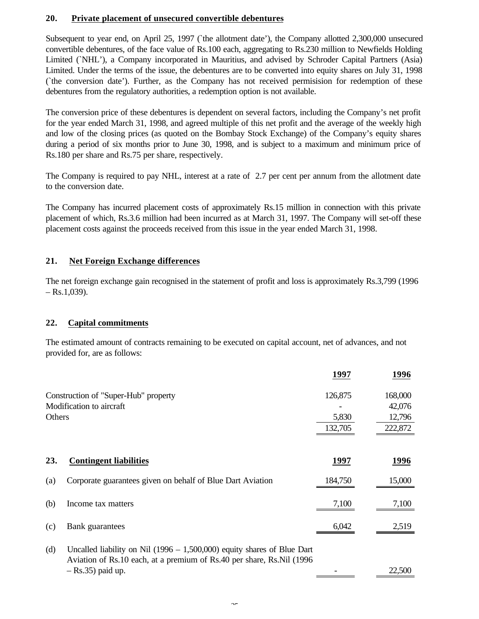#### **20. Private placement of unsecured convertible debentures**

Subsequent to year end, on April 25, 1997 (`the allotment date'), the Company allotted 2,300,000 unsecured convertible debentures, of the face value of Rs.100 each, aggregating to Rs.230 million to Newfields Holding Limited (`NHL'), a Company incorporated in Mauritius, and advised by Schroder Capital Partners (Asia) Limited. Under the terms of the issue, the debentures are to be converted into equity shares on July 31, 1998 (`the conversion date'). Further, as the Company has not received permisision for redemption of these debentures from the regulatory authorities, a redemption option is not available.

The conversion price of these debentures is dependent on several factors, including the Company's net profit for the year ended March 31, 1998, and agreed multiple of this net profit and the average of the weekly high and low of the closing prices (as quoted on the Bombay Stock Exchange) of the Company's equity shares during a period of six months prior to June 30, 1998, and is subject to a maximum and minimum price of Rs.180 per share and Rs.75 per share, respectively.

The Company is required to pay NHL, interest at a rate of 2.7 per cent per annum from the allotment date to the conversion date.

The Company has incurred placement costs of approximately Rs.15 million in connection with this private placement of which, Rs.3.6 million had been incurred as at March 31, 1997. The Company will set-off these placement costs against the proceeds received from this issue in the year ended March 31, 1998.

### **21. Net Foreign Exchange differences**

The net foreign exchange gain recognised in the statement of profit and loss is approximately Rs.3,799 (1996  $-$  Rs.1,039).

### **22. Capital commitments**

The estimated amount of contracts remaining to be executed on capital account, net of advances, and not provided for, are as follows:

|        |                                                                                             | 1997    | 1996    |
|--------|---------------------------------------------------------------------------------------------|---------|---------|
|        | Construction of "Super-Hub" property                                                        | 126,875 | 168,000 |
|        | Modification to aircraft                                                                    |         | 42,076  |
| Others |                                                                                             | 5,830   | 12,796  |
|        |                                                                                             | 132,705 | 222,872 |
|        |                                                                                             |         |         |
| 23.    | <b>Contingent liabilities</b>                                                               | 1997    | 1996    |
| (a)    | Corporate guarantees given on behalf of Blue Dart Aviation                                  | 184,750 | 15,000  |
| (b)    | Income tax matters                                                                          | 7,100   | 7,100   |
| (c)    | <b>Bank</b> guarantees                                                                      | 6,042   | 2,519   |
|        | $c_{\rm D1}$<br>$\lambda$ <sup>11</sup> (1006 - 1.500.000)<br>$\mathbf{r}$ and $\mathbf{r}$ |         |         |

(d) Uncalled liability on Nil (1996 – 1,500,000) equity shares of Blue Dart Aviation of Rs.10 each, at a premium of Rs.40 per share, Rs.Nil (1996 – Rs.35) paid up. 22,500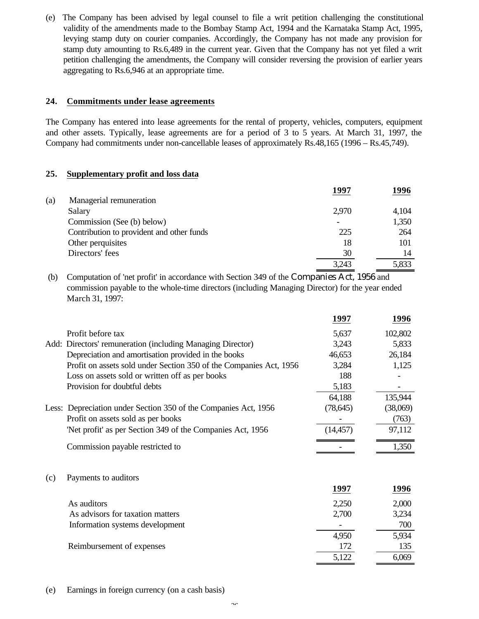(e) The Company has been advised by legal counsel to file a writ petition challenging the constitutional validity of the amendments made to the Bombay Stamp Act, 1994 and the Karnataka Stamp Act, 1995, levying stamp duty on courier companies. Accordingly, the Company has not made any provision for stamp duty amounting to Rs.6,489 in the current year. Given that the Company has not yet filed a writ petition challenging the amendments, the Company will consider reversing the provision of earlier years aggregating to Rs.6,946 at an appropriate time.

#### **24. Commitments under lease agreements**

The Company has entered into lease agreements for the rental of property, vehicles, computers, equipment and other assets. Typically, lease agreements are for a period of 3 to 5 years. At March 31, 1997, the Company had commitments under non-cancellable leases of approximately Rs.48,165 (1996 – Rs.45,749).

### **25. Supplementary profit and loss data**

|     |                                           | 1997  | 1996  |
|-----|-------------------------------------------|-------|-------|
| (a) | Managerial remuneration                   |       |       |
|     | Salary                                    | 2,970 | 4,104 |
|     | Commission (See (b) below)                |       | 1,350 |
|     | Contribution to provident and other funds | 225   | 264   |
|     | Other perquisites                         | 18    | 101   |
|     | Directors' fees                           | 30    | 14    |
|     |                                           | 3.243 | 5,833 |

 (b) Computation of 'net profit' in accordance with Section 349 of the Companies Act, 1956 and commission payable to the whole-time directors (including Managing Director) for the year ended March 31, 1997:

|     |                                                                    | 1997      | 1996     |
|-----|--------------------------------------------------------------------|-----------|----------|
|     | Profit before tax                                                  | 5,637     | 102,802  |
|     | Add: Directors' remuneration (including Managing Director)         | 3,243     | 5,833    |
|     | Depreciation and amortisation provided in the books                | 46,653    | 26,184   |
|     | Profit on assets sold under Section 350 of the Companies Act, 1956 | 3,284     | 1,125    |
|     | Loss on assets sold or written off as per books                    | 188       |          |
|     | Provision for doubtful debts                                       | 5,183     |          |
|     |                                                                    | 64,188    | 135,944  |
|     | Less: Depreciation under Section 350 of the Companies Act, 1956    | (78, 645) | (38,069) |
|     | Profit on assets sold as per books                                 |           | (763)    |
|     | 'Net profit' as per Section 349 of the Companies Act, 1956         | (14, 457) | 97,112   |
|     | Commission payable restricted to                                   |           | 1,350    |
| (c) | Payments to auditors                                               |           |          |
|     |                                                                    | 1997      | 1996     |
|     | As auditors                                                        | 2,250     | 2,000    |
|     | As advisors for taxation matters                                   | 2,700     | 3,234    |
|     | Information systems development                                    |           | 700      |
|     |                                                                    | 4,950     | 5,934    |
|     | Reimbursement of expenses                                          | 172       | 135      |
|     |                                                                    | 5,122     | 6,069    |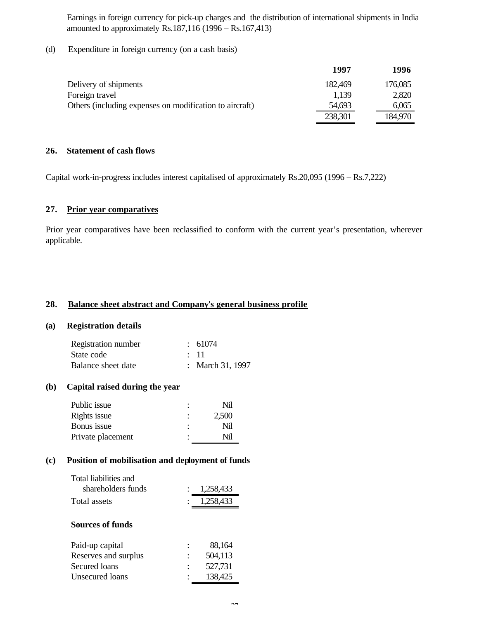Earnings in foreign currency for pick-up charges and the distribution of international shipments in India amounted to approximately Rs.187,116 (1996 – Rs.167,413)

(d) Expenditure in foreign currency (on a cash basis)

|                                                         | 1997    | 1996    |
|---------------------------------------------------------|---------|---------|
| Delivery of shipments                                   | 182,469 | 176,085 |
| Foreign travel                                          | 1.139   | 2,820   |
| Others (including expenses on modification to aircraft) | 54,693  | 6,065   |
|                                                         | 238,301 | 184,970 |

#### **26. Statement of cash flows**

Capital work-in-progress includes interest capitalised of approximately Rs.20,095 (1996 – Rs.7,222)

#### **27. Prior year comparatives**

Prior year comparatives have been reclassified to conform with the current year's presentation, wherever applicable.

#### **28. Balance sheet abstract and Company**'**s general business profile**

#### **(a) Registration details**

| Registration number | $\div$ 61074     |
|---------------------|------------------|
| State code          | $\cdot$ 11       |
| Balance sheet date  | : March 31, 1997 |

#### **(b) Capital raised during the year**

| Public issue      | ٠              | Nil   |
|-------------------|----------------|-------|
| Rights issue      | $\ddot{\cdot}$ | 2,500 |
| Bonus issue       | ٠              | Nil   |
| Private placement | ٠              | Nil   |
|                   |                |       |

#### **(c) Position of mobilisation and deployment of funds**

| : 1,258,433 |
|-------------|
| : 1,258,433 |
|             |

#### **Sources of funds**

| Paid-up capital      | 88,164  |
|----------------------|---------|
| Reserves and surplus | 504,113 |
| Secured loans        | 527,731 |
| Unsecured loans      | 138,425 |